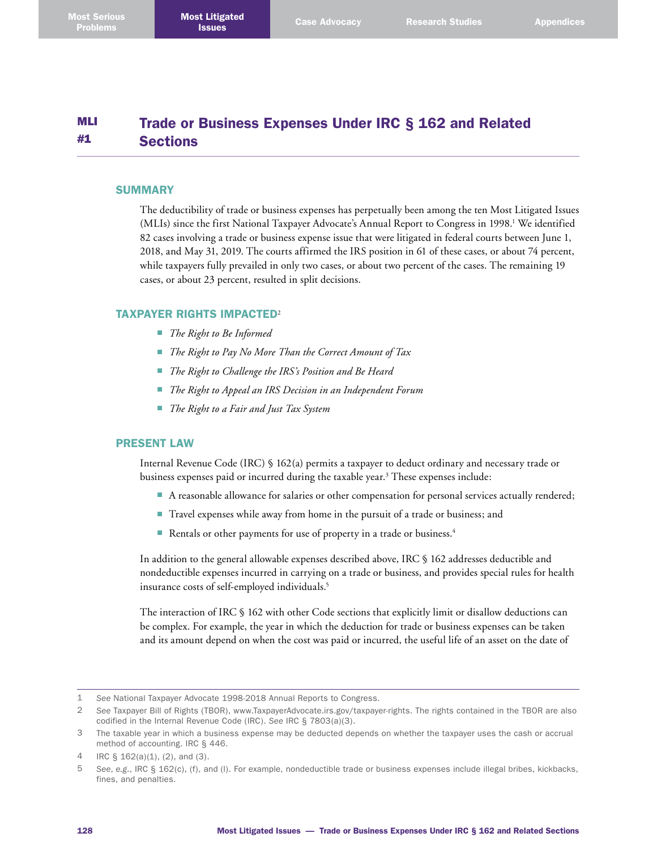#### MLI #1 Trade or Business Expenses Under IRC § 162 and Related **Sections**

### **SUMMARY**

The deductibility of trade or business expenses has perpetually been among the ten Most Litigated Issues (MLIs) since the first National Taxpayer Advocate's Annual Report to Congress in 1998.<sup>1</sup> We identified 82 cases involving a trade or business expense issue that were litigated in federal courts between June 1, 2018, and May 31, 2019. The courts affirmed the IRS position in 61 of these cases, or about 74 percent, while taxpayers fully prevailed in only two cases, or about two percent of the cases. The remaining 19 cases, or about 23 percent, resulted in split decisions.

### TAXPAYER RIGHTS IMPACTED<sup>2</sup>

- *The Right to Be Informed*
- *The Right to Pay No More Than the Correct Amount of Tax*
- *The Right to Challenge the IRS's Position and Be Heard*
- *The Right to Appeal an IRS Decision in an Independent Forum*
- *The Right to a Fair and Just Tax System*

### PRESENT LAW

Internal Revenue Code (IRC) § 162(a) permits a taxpayer to deduct ordinary and necessary trade or business expenses paid or incurred during the taxable year. 3 These expenses include:

- A reasonable allowance for salaries or other compensation for personal services actually rendered;
- Travel expenses while away from home in the pursuit of a trade or business; and
- Rentals or other payments for use of property in a trade or business.<sup>4</sup>

In addition to the general allowable expenses described above, IRC § 162 addresses deductible and nondeductible expenses incurred in carrying on a trade or business, and provides special rules for health insurance costs of self-employed individuals. 5

The interaction of IRC § 162 with other Code sections that explicitly limit or disallow deductions can be complex. For example, the year in which the deduction for trade or business expenses can be taken and its amount depend on when the cost was paid or incurred, the useful life of an asset on the date of

<sup>1</sup> *See* National Taxpayer Advocate 1998-2018 Annual Reports to Congress.

<sup>2</sup> *See* Taxpayer Bill of Rights (TBOR), [www.TaxpayerAdvocate.irs.gov/taxpayer-rights](http://www.TaxpayerAdvocate.irs.gov/taxpayer-rights). The rights contained in the TBOR are also codified in the Internal Revenue Code (IRC). *See* IRC § 7803(a)(3).

<sup>3</sup> The taxable year in which a business expense may be deducted depends on whether the taxpayer uses the cash or accrual method of accounting. IRC § 446.

<sup>4</sup> IRC § 162(a)(1), (2), and (3).

<sup>5</sup> *See*, *e.g*., IRC § 162(c), (f), and (l). For example, nondeductible trade or business expenses include illegal bribes, kickbacks, fines, and penalties.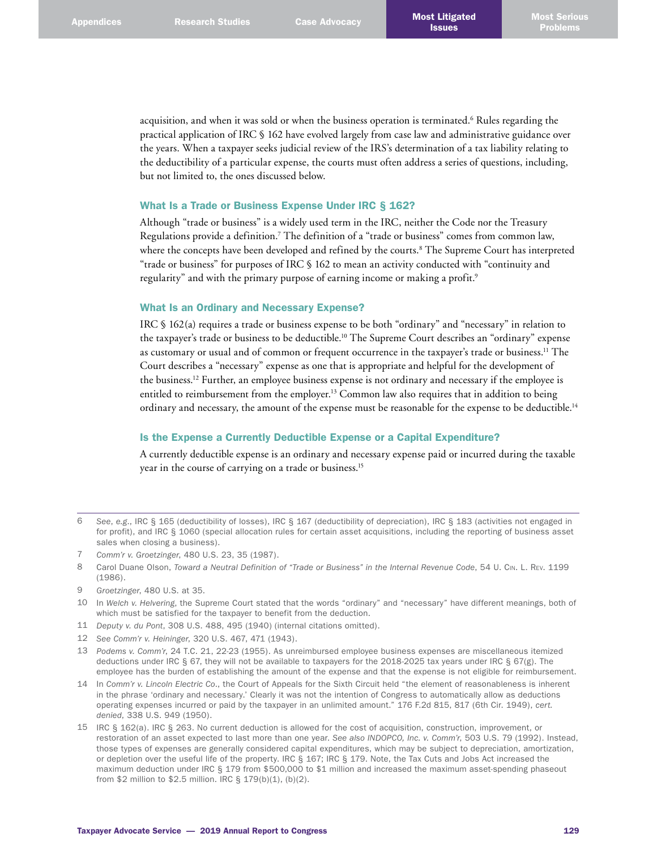acquisition, and when it was sold or when the business operation is terminated. 6 Rules regarding the practical application of IRC § 162 have evolved largely from case law and administrative guidance over the years. When a taxpayer seeks judicial review of the IRS's determination of a tax liability relating to the deductibility of a particular expense, the courts must often address a series of questions, including, but not limited to, the ones discussed below.

# What Is a Trade or Business Expense Under IRC § 162?

Although "trade or business" is a widely used term in the IRC, neither the Code nor the Treasury Regulations provide a definition.<sup>7</sup> The definition of a "trade or business" comes from common law, where the concepts have been developed and refined by the courts. 8 The Supreme Court has interpreted "trade or business" for purposes of IRC § 162 to mean an activity conducted with "continuity and regularity" and with the primary purpose of earning income or making a profit. 9

### What Is an Ordinary and Necessary Expense?

IRC § 162(a) requires a trade or business expense to be both "ordinary" and "necessary" in relation to the taxpayer's trade or business to be deductible. 10 The Supreme Court describes an "ordinary" expense as customary or usual and of common or frequent occurrence in the taxpayer's trade or business. 11 The Court describes a "necessary" expense as one that is appropriate and helpful for the development of the business. 12 Further, an employee business expense is not ordinary and necessary if the employee is entitled to reimbursement from the employer. 13 Common law also requires that in addition to being ordinary and necessary, the amount of the expense must be reasonable for the expense to be deductible.<sup>14</sup>

# Is the Expense a Currently Deductible Expense or a Capital Expenditure?

A currently deductible expense is an ordinary and necessary expense paid or incurred during the taxable year in the course of carrying on a trade or business. 15

- 11 *Deputy v. du Pont*, 308 U.S. 488, 495 (1940) (internal citations omitted).
- 12 *See Comm'r v. Heininger*, 320 U.S. 467, 471 (1943).
- 13 *Podems v. Comm'r*, 24 T.C. 21, 22-23 (1955). As unreimbursed employee business expenses are miscellaneous itemized deductions under IRC § 67, they will not be available to taxpayers for the 2018-2025 tax years under IRC § 67(g). The employee has the burden of establishing the amount of the expense and that the expense is not eligible for reimbursement.
- 14 In *Comm'r v. Lincoln Electric Co*., the Court of Appeals for the Sixth Circuit held "the element of reasonableness is inherent in the phrase 'ordinary and necessary.' Clearly it was not the intention of Congress to automatically allow as deductions operating expenses incurred or paid by the taxpayer in an unlimited amount." 176 F.2d 815, 817 (6th Cir. 1949), *cert. denied*, 338 U.S. 949 (1950).
- 15 IRC § 162(a). IRC § 263. No current deduction is allowed for the cost of acquisition, construction, improvement, or restoration of an asset expected to last more than one year. *See also INDOPCO, Inc. v. Comm'r*, 503 U.S. 79 (1992). Instead, those types of expenses are generally considered capital expenditures, which may be subject to depreciation, amortization, or depletion over the useful life of the property. IRC § 167; IRC § 179. Note, the Tax Cuts and Jobs Act increased the maximum deduction under IRC § 179 from \$500,000 to \$1 million and increased the maximum asset-spending phaseout from \$2 million to \$2.5 million. IRC § 179(b)(1), (b)(2).

<sup>6</sup> *See*, *e.g*., IRC § 165 (deductibility of losses), IRC § 167 (deductibility of depreciation), IRC § 183 (activities not engaged in for profit), and IRC § 1060 (special allocation rules for certain asset acquisitions, including the reporting of business asset sales when closing a business).

<sup>7</sup> *Comm'r v. Groetzinger*, 480 U.S. 23, 35 (1987).

<sup>8</sup> Carol Duane Olson, *Toward a Neutral Definition of "Trade or Business" in the Internal Revenue Code*, 54 U. Cin. L. Rev. 1199 (1986).

<sup>9</sup> *Groetzinger*, 480 U.S. at 35.

<sup>10</sup> In *Welch v. Helvering*, the Supreme Court stated that the words "ordinary" and "necessary" have different meanings, both of which must be satisfied for the taxpayer to benefit from the deduction.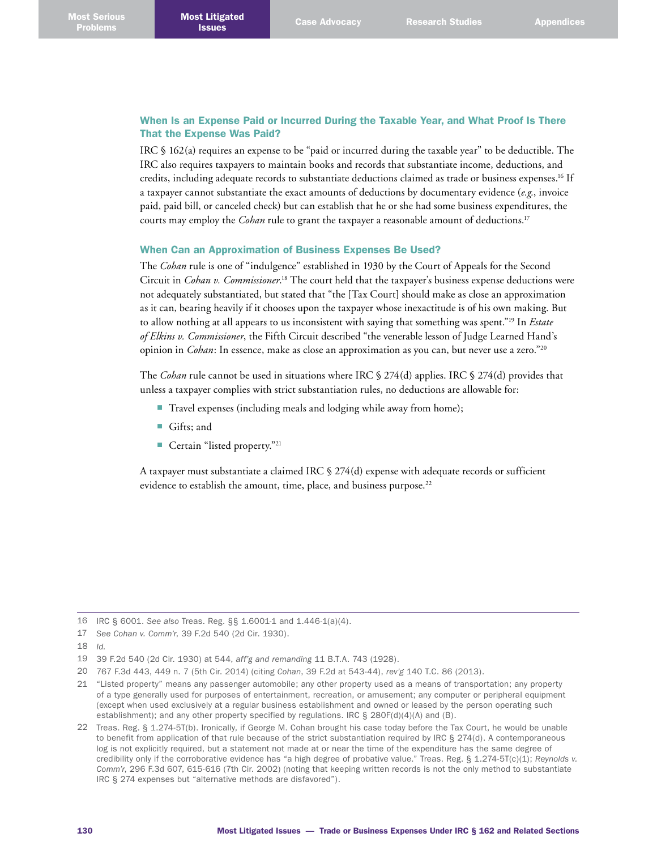# When Is an Expense Paid or Incurred During the Taxable Year, and What Proof Is There That the Expense Was Paid?

IRC § 162(a) requires an expense to be "paid or incurred during the taxable year" to be deductible. The IRC also requires taxpayers to maintain books and records that substantiate income, deductions, and credits, including adequate records to substantiate deductions claimed as trade or business expenses. 16 If a taxpayer cannot substantiate the exact amounts of deductions by documentary evidence (*e.g.*, invoice paid, paid bill, or canceled check) but can establish that he or she had some business expenditures, the courts may employ the *Cohan* rule to grant the taxpayer a reasonable amount of deductions. 17

# When Can an Approximation of Business Expenses Be Used?

The *Cohan* rule is one of "indulgence" established in 1930 by the Court of Appeals for the Second Circuit in *Cohan v. Commissioner*. 18 The court held that the taxpayer's business expense deductions were not adequately substantiated, but stated that "the [Tax Court] should make as close an approximation as it can, bearing heavily if it chooses upon the taxpayer whose inexactitude is of his own making. But to allow nothing at all appears to us inconsistent with saying that something was spent."19 In *Estate of Elkins v. Commissioner*, the Fifth Circuit described "the venerable lesson of Judge Learned Hand's opinion in *Cohan*: In essence, make as close an approximation as you can, but never use a zero."20

The *Cohan* rule cannot be used in situations where IRC § 274(d) applies. IRC § 274(d) provides that unless a taxpayer complies with strict substantiation rules, no deductions are allowable for:

- Travel expenses (including meals and lodging while away from home);
- Gifts; and
- Certain "listed property."<sup>21</sup>

A taxpayer must substantiate a claimed IRC § 274(d) expense with adequate records or sufficient evidence to establish the amount, time, place, and business purpose. 22

<sup>16</sup> IRC § 6001. *See also* Treas. Reg. §§ 1.6001-1 and 1.446-1(a)(4).

<sup>17</sup> *See Cohan v. Comm'r*, 39 F.2d 540 (2d Cir. 1930).

<sup>18</sup> *Id.*

<sup>19</sup> 39 F.2d 540 (2d Cir. 1930) at 544, *aff'g and remanding* 11 B.T.A. 743 (1928).

<sup>20</sup> 767 F.3d 443, 449 n. 7 (5th Cir. 2014) (citing *Cohan*, 39 F.2d at 543-44), *rev'g* 140 T.C. 86 (2013).

<sup>21</sup> "Listed property" means any passenger automobile; any other property used as a means of transportation; any property of a type generally used for purposes of entertainment, recreation, or amusement; any computer or peripheral equipment (except when used exclusively at a regular business establishment and owned or leased by the person operating such establishment); and any other property specified by regulations. IRC  $\S 280F(d)(4)(A)$  and (B).

<sup>22</sup> Treas. Reg. § 1.274-5T(b). Ironically, if George M. Cohan brought his case today before the Tax Court, he would be unable to benefit from application of that rule because of the strict substantiation required by IRC § 274(d). A contemporaneous log is not explicitly required, but a statement not made at or near the time of the expenditure has the same degree of credibility only if the corroborative evidence has "a high degree of probative value." Treas. Reg. § 1.274-5T(c)(1); *Reynolds v. Comm'r*, 296 F.3d 607, 615-616 (7th Cir. 2002) (noting that keeping written records is not the only method to substantiate IRC § 274 expenses but "alternative methods are disfavored").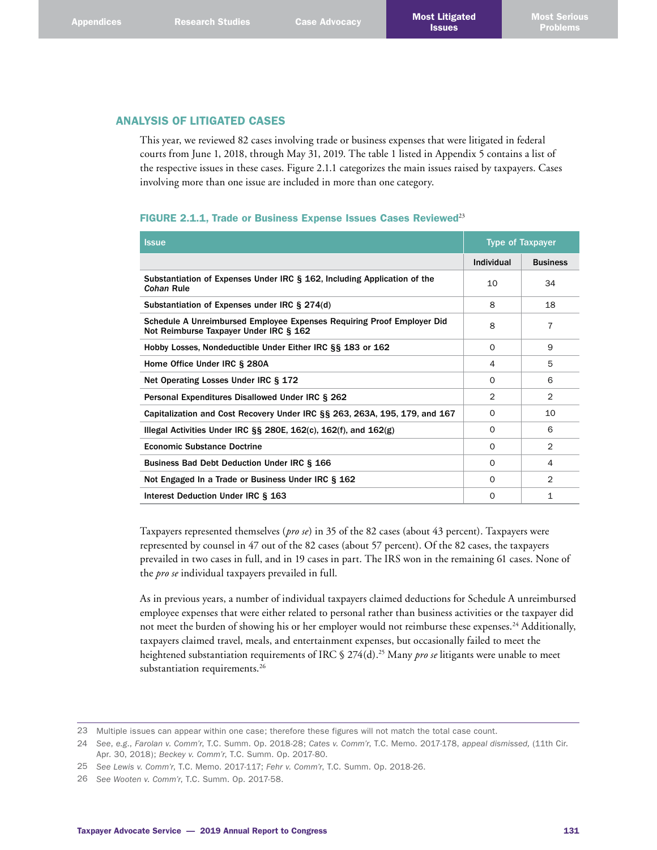# ANALYSIS OF LITIGATED CASES

This year, we reviewed 82 cases involving trade or business expenses that were litigated in federal courts from June 1, 2018, through May 31, 2019. The table 1 listed in Appendix 5 contains a list of the respective issues in these cases. Figure 2.1.1 categorizes the main issues raised by taxpayers. Cases involving more than one issue are included in more than one category.

### FIGURE 2.1.1, Trade or Business Expense Issues Cases Reviewed<sup>23</sup>

| <b>Issue</b>                                                                                                     | <b>Type of Taxpayer</b> |                 |
|------------------------------------------------------------------------------------------------------------------|-------------------------|-----------------|
|                                                                                                                  | Individual              | <b>Business</b> |
| Substantiation of Expenses Under IRC § 162, Including Application of the<br>Cohan Rule                           | 10                      | 34              |
| Substantiation of Expenses under IRC § 274(d)                                                                    | 8                       | 18              |
| Schedule A Unreimbursed Employee Expenses Requiring Proof Employer Did<br>Not Reimburse Taxpayer Under IRC § 162 | 8                       | 7               |
| Hobby Losses, Nondeductible Under Either IRC §§ 183 or 162                                                       | $\Omega$                | 9               |
| Home Office Under IRC § 280A                                                                                     | 4                       | 5               |
| Net Operating Losses Under IRC § 172                                                                             | $\Omega$                | 6               |
| Personal Expenditures Disallowed Under IRC § 262                                                                 | 2                       | $\overline{2}$  |
| Capitalization and Cost Recovery Under IRC §§ 263, 263A, 195, 179, and 167                                       | $\Omega$                | 10              |
| Illegal Activities Under IRC $\S$ 280E, 162(c), 162(f), and 162(g)                                               | $\Omega$                | 6               |
| <b>Economic Substance Doctrine</b>                                                                               | $\Omega$                | $\mathcal{P}$   |
| Business Bad Debt Deduction Under IRC § 166                                                                      | $\Omega$                | 4               |
| Not Engaged In a Trade or Business Under IRC § 162                                                               | $\Omega$                | $\mathfrak{D}$  |
| Interest Deduction Under IRC § 163                                                                               | $\Omega$                | $\mathbf{1}$    |

Taxpayers represented themselves (*pro se*) in 35 of the 82 cases (about 43 percent). Taxpayers were represented by counsel in 47 out of the 82 cases (about 57 percent). Of the 82 cases, the taxpayers prevailed in two cases in full, and in 19 cases in part. The IRS won in the remaining 61 cases. None of the *pro se* individual taxpayers prevailed in full.

As in previous years, a number of individual taxpayers claimed deductions for Schedule A unreimbursed employee expenses that were either related to personal rather than business activities or the taxpayer did not meet the burden of showing his or her employer would not reimburse these expenses. 24 Additionally, taxpayers claimed travel, meals, and entertainment expenses, but occasionally failed to meet the heightened substantiation requirements of IRC § 274(d). 25 Many *pro se* litigants were unable to meet substantiation requirements. 26

<sup>23</sup> Multiple issues can appear within one case; therefore these figures will not match the total case count.

<sup>24</sup> *See*, *e.g*., *Farolan v. Comm'r*, T.C. Summ. Op. 2018-28; *Cates v. Comm'r*, T.C. Memo. 2017-178, *appeal dismissed,* (11th Cir. Apr. 30, 2018); *Beckey v. Comm'r*, T.C. Summ. Op. 2017-80.

<sup>25</sup> *See Lewis v. Comm'r*, T.C. Memo. 2017-117; *Fehr v. Comm'r*, T.C. Summ. Op. 2018-26.

<sup>26</sup> *See Wooten v. Comm'r*, T.C. Summ. Op. 2017-58.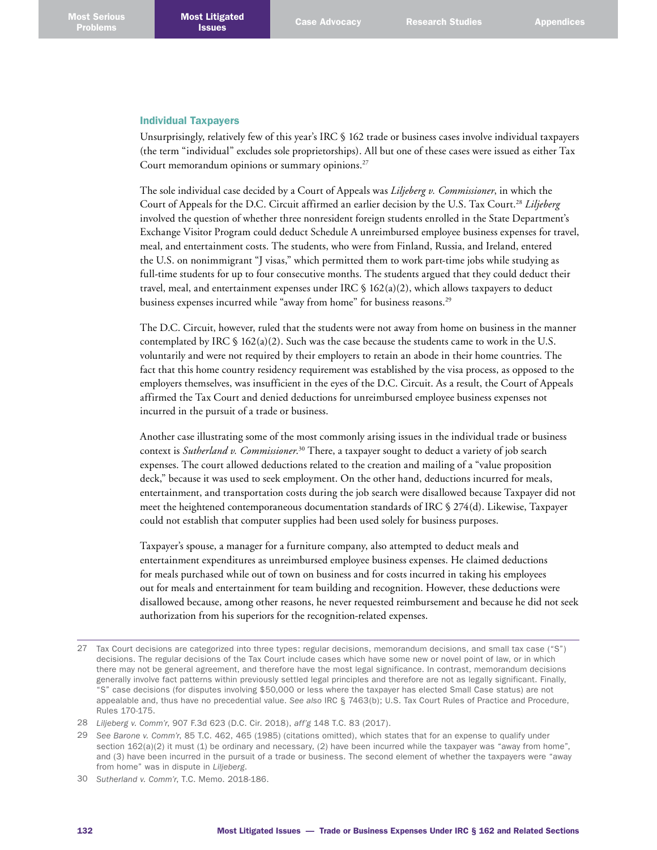#### Individual Taxpayers

Unsurprisingly, relatively few of this year's IRC § 162 trade or business cases involve individual taxpayers (the term "individual" excludes sole proprietorships). All but one of these cases were issued as either Tax Court memorandum opinions or summary opinions.<sup>27</sup>

The sole individual case decided by a Court of Appeals was *Liljeberg v. Commissioner*, in which the Court of Appeals for the D.C. Circuit affirmed an earlier decision by the U.S. Tax Court. <sup>28</sup> *Liljeberg* involved the question of whether three nonresident foreign students enrolled in the State Department's Exchange Visitor Program could deduct Schedule A unreimbursed employee business expenses for travel, meal, and entertainment costs. The students, who were from Finland, Russia, and Ireland, entered the U.S. on nonimmigrant "J visas," which permitted them to work part-time jobs while studying as full-time students for up to four consecutive months. The students argued that they could deduct their travel, meal, and entertainment expenses under IRC  $\S$  162(a)(2), which allows taxpayers to deduct business expenses incurred while "away from home" for business reasons. 29

The D.C. Circuit, however, ruled that the students were not away from home on business in the manner contemplated by IRC  $\S$  162(a)(2). Such was the case because the students came to work in the U.S. voluntarily and were not required by their employers to retain an abode in their home countries. The fact that this home country residency requirement was established by the visa process, as opposed to the employers themselves, was insufficient in the eyes of the D.C. Circuit. As a result, the Court of Appeals affirmed the Tax Court and denied deductions for unreimbursed employee business expenses not incurred in the pursuit of a trade or business.

Another case illustrating some of the most commonly arising issues in the individual trade or business context is *Sutherland v. Commissioner*. 30 There, a taxpayer sought to deduct a variety of job search expenses. The court allowed deductions related to the creation and mailing of a "value proposition deck," because it was used to seek employment. On the other hand, deductions incurred for meals, entertainment, and transportation costs during the job search were disallowed because Taxpayer did not meet the heightened contemporaneous documentation standards of IRC § 274(d). Likewise, Taxpayer could not establish that computer supplies had been used solely for business purposes.

Taxpayer's spouse, a manager for a furniture company, also attempted to deduct meals and entertainment expenditures as unreimbursed employee business expenses. He claimed deductions for meals purchased while out of town on business and for costs incurred in taking his employees out for meals and entertainment for team building and recognition. However, these deductions were disallowed because, among other reasons, he never requested reimbursement and because he did not seek authorization from his superiors for the recognition-related expenses.

30 *Sutherland v. Comm'r*, T.C. Memo. 2018-186.

<sup>27</sup> Tax Court decisions are categorized into three types: regular decisions, memorandum decisions, and small tax case ("S") decisions. The regular decisions of the Tax Court include cases which have some new or novel point of law, or in which there may not be general agreement, and therefore have the most legal significance. In contrast, memorandum decisions generally involve fact patterns within previously settled legal principles and therefore are not as legally significant. Finally, "S" case decisions (for disputes involving \$50,000 or less where the taxpayer has elected Small Case status) are not appealable and, thus have no precedential value. *See also* IRC § 7463(b); U.S. Tax Court Rules of Practice and Procedure, Rules 170-175.

<sup>28</sup> *Liljeberg v. Comm'r*, 907 F.3d 623 (D.C. Cir. 2018), *aff'g* 148 T.C. 83 (2017).

<sup>29</sup> *See Barone v. Comm'r*, 85 T.C. 462, 465 (1985) (citations omitted), which states that for an expense to qualify under section  $162(a)(2)$  it must (1) be ordinary and necessary, (2) have been incurred while the taxpayer was "away from home", and (3) have been incurred in the pursuit of a trade or business. The second element of whether the taxpayers were "away from home" was in dispute in *Liljeberg*.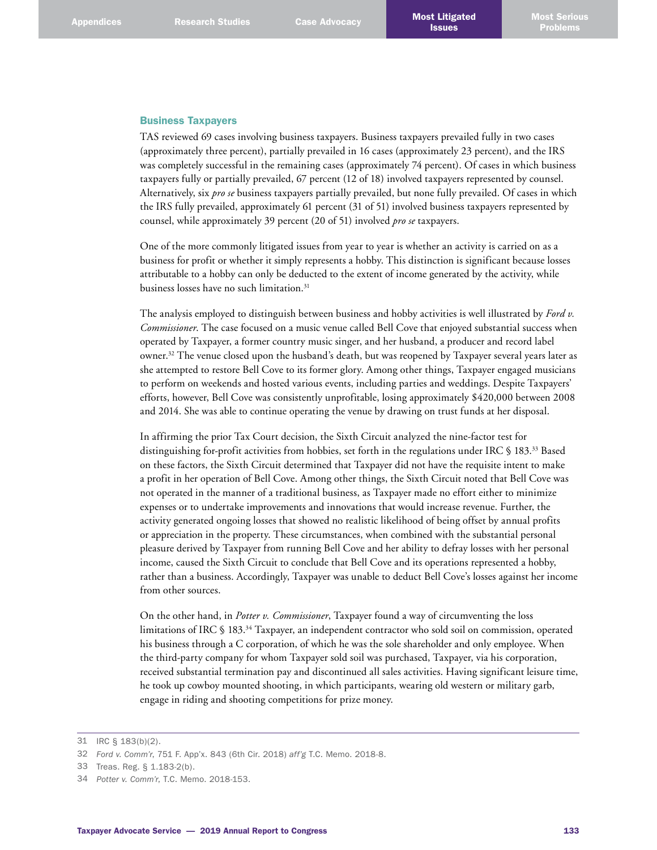### Business Taxpayers

TAS reviewed 69 cases involving business taxpayers. Business taxpayers prevailed fully in two cases (approximately three percent), partially prevailed in 16 cases (approximately 23 percent), and the IRS was completely successful in the remaining cases (approximately 74 percent). Of cases in which business taxpayers fully or partially prevailed, 67 percent (12 of 18) involved taxpayers represented by counsel. Alternatively, six *pro se* business taxpayers partially prevailed, but none fully prevailed. Of cases in which the IRS fully prevailed, approximately 61 percent (31 of 51) involved business taxpayers represented by counsel, while approximately 39 percent (20 of 51) involved *pro se* taxpayers.

One of the more commonly litigated issues from year to year is whether an activity is carried on as a business for profit or whether it simply represents a hobby. This distinction is significant because losses attributable to a hobby can only be deducted to the extent of income generated by the activity, while business losses have no such limitation. 31

The analysis employed to distinguish between business and hobby activities is well illustrated by *Ford v. Commissioner*. The case focused on a music venue called Bell Cove that enjoyed substantial success when operated by Taxpayer, a former country music singer, and her husband, a producer and record label owner. 32 The venue closed upon the husband's death, but was reopened by Taxpayer several years later as she attempted to restore Bell Cove to its former glory. Among other things, Taxpayer engaged musicians to perform on weekends and hosted various events, including parties and weddings. Despite Taxpayers' efforts, however, Bell Cove was consistently unprofitable, losing approximately \$420,000 between 2008 and 2014. She was able to continue operating the venue by drawing on trust funds at her disposal.

In affirming the prior Tax Court decision, the Sixth Circuit analyzed the nine-factor test for distinguishing for-profit activities from hobbies, set forth in the regulations under IRC § 183. 33 Based on these factors, the Sixth Circuit determined that Taxpayer did not have the requisite intent to make a profit in her operation of Bell Cove. Among other things, the Sixth Circuit noted that Bell Cove was not operated in the manner of a traditional business, as Taxpayer made no effort either to minimize expenses or to undertake improvements and innovations that would increase revenue. Further, the activity generated ongoing losses that showed no realistic likelihood of being offset by annual profits or appreciation in the property. These circumstances, when combined with the substantial personal pleasure derived by Taxpayer from running Bell Cove and her ability to defray losses with her personal income, caused the Sixth Circuit to conclude that Bell Cove and its operations represented a hobby, rather than a business. Accordingly, Taxpayer was unable to deduct Bell Cove's losses against her income from other sources.

On the other hand, in *Potter v. Commissioner*, Taxpayer found a way of circumventing the loss limitations of IRC § 183. 34 Taxpayer, an independent contractor who sold soil on commission, operated his business through a C corporation, of which he was the sole shareholder and only employee. When the third-party company for whom Taxpayer sold soil was purchased, Taxpayer, via his corporation, received substantial termination pay and discontinued all sales activities. Having significant leisure time, he took up cowboy mounted shooting, in which participants, wearing old western or military garb, engage in riding and shooting competitions for prize money.

<sup>31</sup> IRC § 183(b)(2).

<sup>32</sup> *Ford v. Comm'r*, 751 F. App'x. 843 (6th Cir. 2018) *aff'g* T.C. Memo. 2018-8.

<sup>33</sup> Treas. Reg. § 1.183-2(b).

<sup>34</sup> *Potter v. Comm'r*, T.C. Memo. 2018-153.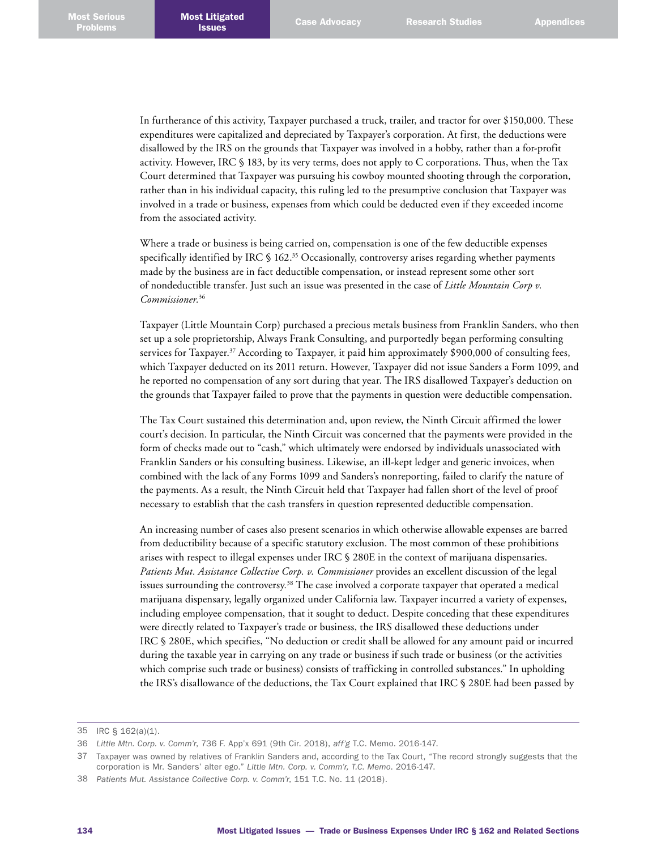In furtherance of this activity, Taxpayer purchased a truck, trailer, and tractor for over \$150,000. These expenditures were capitalized and depreciated by Taxpayer's corporation. At first, the deductions were disallowed by the IRS on the grounds that Taxpayer was involved in a hobby, rather than a for-profit activity. However, IRC § 183, by its very terms, does not apply to C corporations. Thus, when the Tax Court determined that Taxpayer was pursuing his cowboy mounted shooting through the corporation, rather than in his individual capacity, this ruling led to the presumptive conclusion that Taxpayer was involved in a trade or business, expenses from which could be deducted even if they exceeded income from the associated activity.

Where a trade or business is being carried on, compensation is one of the few deductible expenses specifically identified by IRC § 162. 35 Occasionally, controversy arises regarding whether payments made by the business are in fact deductible compensation, or instead represent some other sort of nondeductible transfer. Just such an issue was presented in the case of *Little Mountain Corp v. Commissioner.*<sup>36</sup>

Taxpayer (Little Mountain Corp) purchased a precious metals business from Franklin Sanders, who then set up a sole proprietorship, Always Frank Consulting, and purportedly began performing consulting services for Taxpayer.<sup>37</sup> According to Taxpayer, it paid him approximately \$900,000 of consulting fees, which Taxpayer deducted on its 2011 return. However, Taxpayer did not issue Sanders a Form 1099, and he reported no compensation of any sort during that year. The IRS disallowed Taxpayer's deduction on the grounds that Taxpayer failed to prove that the payments in question were deductible compensation.

The Tax Court sustained this determination and, upon review, the Ninth Circuit affirmed the lower court's decision. In particular, the Ninth Circuit was concerned that the payments were provided in the form of checks made out to "cash," which ultimately were endorsed by individuals unassociated with Franklin Sanders or his consulting business. Likewise, an ill-kept ledger and generic invoices, when combined with the lack of any Forms 1099 and Sanders's nonreporting, failed to clarify the nature of the payments. As a result, the Ninth Circuit held that Taxpayer had fallen short of the level of proof necessary to establish that the cash transfers in question represented deductible compensation.

An increasing number of cases also present scenarios in which otherwise allowable expenses are barred from deductibility because of a specific statutory exclusion. The most common of these prohibitions arises with respect to illegal expenses under IRC § 280E in the context of marijuana dispensaries. Patients Mut. Assistance Collective Corp. v. Commissioner provides an excellent discussion of the legal issues surrounding the controversy*.* 38 The case involved a corporate taxpayer that operated a medical marijuana dispensary, legally organized under California law. Taxpayer incurred a variety of expenses, including employee compensation, that it sought to deduct. Despite conceding that these expenditures were directly related to Taxpayer's trade or business, the IRS disallowed these deductions under IRC § 280E, which specifies, "No deduction or credit shall be allowed for any amount paid or incurred during the taxable year in carrying on any trade or business if such trade or business (or the activities which comprise such trade or business) consists of trafficking in controlled substances." In upholding the IRS's disallowance of the deductions, the Tax Court explained that IRC § 280E had been passed by

<sup>35</sup> IRC § 162(a)(1).

<sup>36</sup> *Little Mtn. Corp. v. Comm'r*, 736 F. App'x 691 (9th Cir. 2018), *aff'g* T.C. Memo. 2016-147.

<sup>37</sup> Taxpayer was owned by relatives of Franklin Sanders and, according to the Tax Court, "The record strongly suggests that the corporation is Mr. Sanders' alter ego." *Little Mtn. Corp. v. Comm'r, T.C. Memo*. 2016-147.

<sup>38</sup> *Patients Mut. Assistance Collective Corp. v. Comm'r*, 151 T.C. No. 11 (2018).